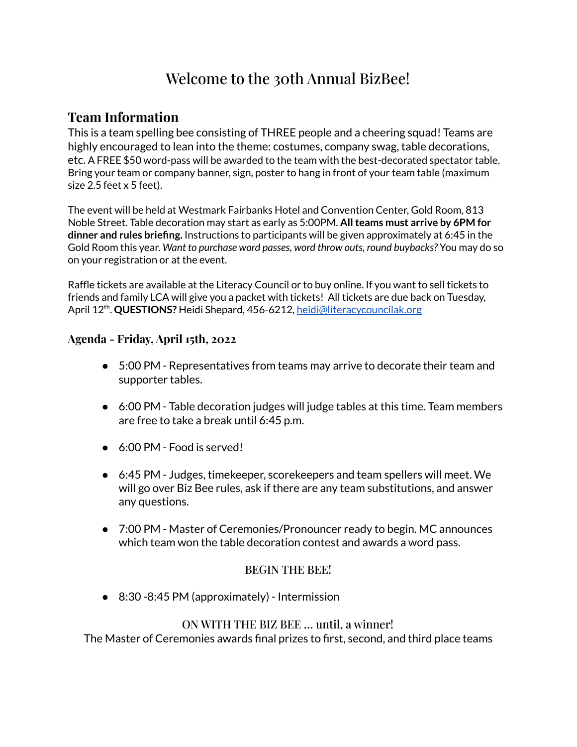# Welcome to the 30th Annual BizBee!

### **Team Information**

This is a team spelling bee consisting of THREE people and a cheering squad! Teams are highly encouraged to lean into the theme: costumes, company swag, table decorations, etc. A FREE \$50 word-pass will be awarded to the team with the best-decorated spectator table. Bring your team or company banner, sign, poster to hang in front of your team table (maximum size 2.5 feet x 5 feet).

The event will be held at Westmark Fairbanks Hotel and Convention Center, Gold Room, 813 Noble Street. Table decoration may start as early as 5:00PM. **Allteams must arrive by 6PM for dinner and rules briefing.** Instructions to participants will be given approximately at 6:45 in the Gold Room this year. *Want to purchase word passes, word throw outs, round buybacks?* You may do so on your registration or at the event.

Raffle tickets are available at the Literacy Council or to buy online. If you want to sell tickets to friends and family LCA will give you a packet with tickets! All tickets are due back on Tuesday, April 12<sup>th</sup>. **QUESTIONS?** Heidi Shepard, 456-6212, <u>[heidi@literacycouncilak.org](mailto:heidi@literacycouncilak.org)</u>

#### **Agenda - Friday, April 15th, 2022**

- 5:00 PM Representatives from teams may arrive to decorate their team and supporter tables.
- 6:00 PM Table decoration judges will judge tables at this time. Team members are free to take a break until 6:45 p.m.
- 6:00 PM Food is served!
- 6:45 PM Judges, timekeeper, scorekeepers and team spellers will meet. We will go over Biz Bee rules, ask if there are any team substitutions, and answer any questions.
- 7:00 PM Master of Ceremonies/Pronouncer ready to begin. MC announces which team won the table decoration contest and awards a word pass.

#### BEGIN THE BEE!

● 8:30 -8:45 PM (approximately) - Intermission

#### ON WITH THE BIZ BEE … until, a winner!

The Master of Ceremonies awards final prizes to first, second, and third place teams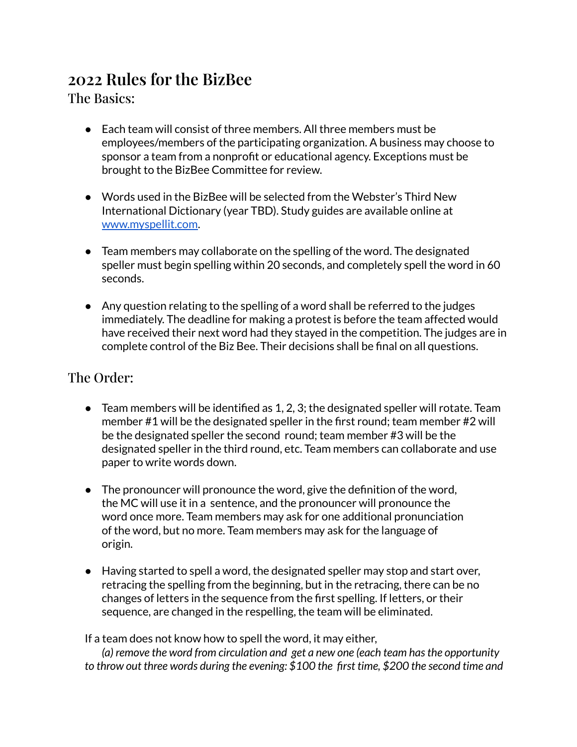# **2022 Rules for the BizBee**

The Basics:

- Each team will consist of three members. All three members must be employees/members of the participating organization. A business may choose to sponsor a team from a nonprofit or educational agency. Exceptions must be brought to the BizBee Committee for review.
- Words used in the BizBee will be selected from the Webster's Third New International Dictionary (year TBD). Study guides are available online at [www.myspellit.com](http://www.myspellit.com).
- Team members may collaborate on the spelling of the word. The designated speller must begin spelling within 20 seconds, and completely spell the word in 60 seconds.
- Any question relating to the spelling of a word shall be referred to the judges immediately. The deadline for making a protest is before the team affected would have received their next word had they stayed in the competition. The judges are in complete control of the Biz Bee. Their decisions shall be final on all questions.

## The Order:

- $\bullet$  Team members will be identified as 1, 2, 3; the designated speller will rotate. Team member #1 will be the designated speller in the first round; team member #2 will be the designated speller the second round; team member #3 will be the designated speller in the third round, etc. Team members can collaborate and use paper to write words down.
- The pronouncer will pronounce the word, give the definition of the word, the MC will use it in a sentence, and the pronouncer will pronounce the word once more. Team members may ask for one additional pronunciation of the word, but no more. Team members may ask for the language of origin.
- Having started to spell a word, the designated speller may stop and start over, retracing the spelling from the beginning, but in the retracing, there can be no changes of letters in the sequence from the first spelling. If letters, or their sequence, are changed in the respelling, the team will be eliminated.

If a team does not know how to spell the word, it may either,

*(a) remove the word from circulation and get a new one (each team hasthe opportunity to throw out three words during the evening: \$100 the first time, \$200 the second time and*